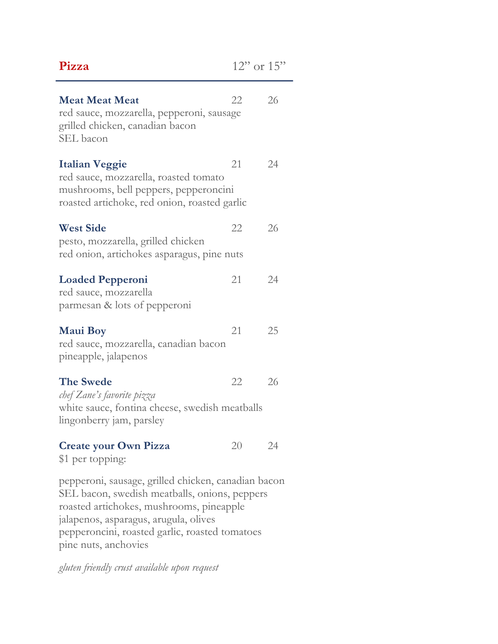| Pizza                                                                                                                                                                                                                                                               | $12"$ or $15"$ |    |
|---------------------------------------------------------------------------------------------------------------------------------------------------------------------------------------------------------------------------------------------------------------------|----------------|----|
| <b>Meat Meat Meat</b><br>red sauce, mozzarella, pepperoni, sausage<br>grilled chicken, canadian bacon<br>SEL bacon                                                                                                                                                  | 22             | 26 |
| <b>Italian Veggie</b><br>red sauce, mozzarella, roasted tomato<br>mushrooms, bell peppers, pepperoncini<br>roasted artichoke, red onion, roasted garlic                                                                                                             | 21             | 24 |
| <b>West Side</b><br>pesto, mozzarella, grilled chicken<br>red onion, artichokes asparagus, pine nuts                                                                                                                                                                | 22             | 26 |
| <b>Loaded Pepperoni</b><br>red sauce, mozzarella<br>parmesan & lots of pepperoni                                                                                                                                                                                    | 21             | 24 |
| <b>Maui Boy</b><br>red sauce, mozzarella, canadian bacon<br>pineapple, jalapenos                                                                                                                                                                                    | 21             | 25 |
| <b>The Swede</b><br>chef Zane's favorite pizza<br>white sauce, fontina cheese, swedish meatballs<br>lingonberry jam, parsley                                                                                                                                        | 22             | 26 |
| <b>Create your Own Pizza</b><br>\$1 per topping:                                                                                                                                                                                                                    | 20             | 24 |
| pepperoni, sausage, grilled chicken, canadian bacon<br>SEL bacon, swedish meatballs, onions, peppers<br>roasted artichokes, mushrooms, pineapple<br>jalapenos, asparagus, arugula, olives<br>pepperoncini, roasted garlic, roasted tomatoes<br>pine nuts, anchovies |                |    |

*gluten friendly crust available upon request*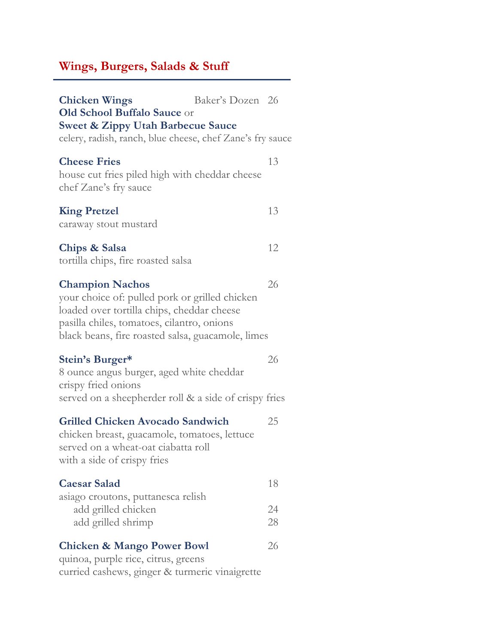## **Wings, Burgers, Salads & Stuff**

| <b>Chicken Wings</b><br>Old School Buffalo Sauce or                                                                                                                                                                       | Baker's Dozen 26 |                |
|---------------------------------------------------------------------------------------------------------------------------------------------------------------------------------------------------------------------------|------------------|----------------|
| <b>Sweet &amp; Zippy Utah Barbecue Sauce</b><br>celery, radish, ranch, blue cheese, chef Zane's fry sauce                                                                                                                 |                  |                |
| <b>Cheese Fries</b><br>house cut fries piled high with cheddar cheese<br>chef Zane's fry sauce                                                                                                                            |                  | 13             |
| <b>King Pretzel</b><br>caraway stout mustard                                                                                                                                                                              |                  | 13             |
| Chips & Salsa<br>tortilla chips, fire roasted salsa                                                                                                                                                                       |                  | 12             |
| <b>Champion Nachos</b><br>your choice of: pulled pork or grilled chicken<br>loaded over tortilla chips, cheddar cheese<br>pasilla chiles, tomatoes, cilantro, onions<br>black beans, fire roasted salsa, guacamole, limes |                  | 26             |
| Stein's Burger*<br>8 ounce angus burger, aged white cheddar<br>crispy fried onions<br>served on a sheepherder roll & a side of crispy fries                                                                               |                  | 26             |
| <b>Grilled Chicken Avocado Sandwich</b><br>chicken breast, guacamole, tomatoes, lettuce<br>served on a wheat-oat ciabatta roll<br>with a side of crispy fries                                                             |                  | 25             |
| <b>Caesar Salad</b><br>asiago croutons, puttanesca relish<br>add grilled chicken<br>add grilled shrimp                                                                                                                    |                  | 18<br>24<br>28 |
| <b>Chicken &amp; Mango Power Bowl</b><br>quinoa, purple rice, citrus, greens<br>curried cashews, ginger & turmeric vinaigrette                                                                                            |                  | 26             |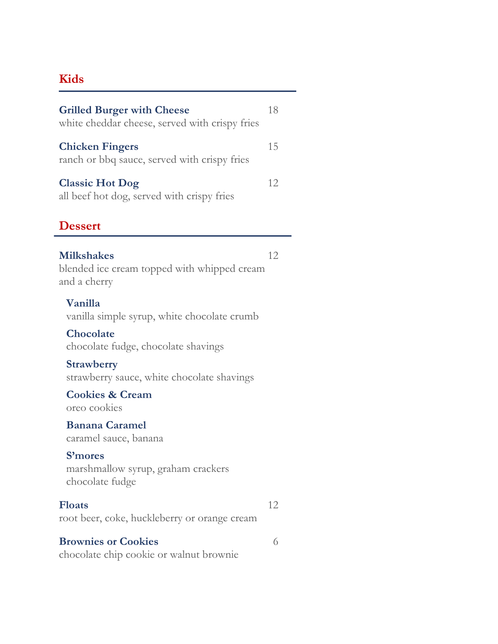## **Kids**

| <b>Grilled Burger with Cheese</b><br>white cheddar cheese, served with crispy fries | 18 |
|-------------------------------------------------------------------------------------|----|
| <b>Chicken Fingers</b><br>ranch or bbq sauce, served with crispy fries              | 15 |
| <b>Classic Hot Dog</b><br>all beef hot dog, served with crispy fries                | 12 |
| <b>Dessert</b>                                                                      |    |
| <b>Milkshakes</b><br>blended ice cream topped with whipped cream<br>and a cherry    | 12 |
| Vanilla<br>vanilla simple syrup, white chocolate crumb                              |    |
| Chocolate<br>chocolate fudge, chocolate shavings                                    |    |
| <b>Strawberry</b><br>strawberry sauce, white chocolate shavings                     |    |
| <b>Cookies &amp; Cream</b><br>oreo cookies                                          |    |
| <b>Banana Caramel</b><br>caramel sauce, banana                                      |    |
| <b>S'mores</b><br>marshmallow syrup, graham crackers<br>chocolate fudge             |    |
| <b>Floats</b><br>root beer, coke, huckleberry or orange cream                       | 12 |
| <b>Brownies or Cookies</b><br>chocolate chip cookie or walnut brownie               | 6  |